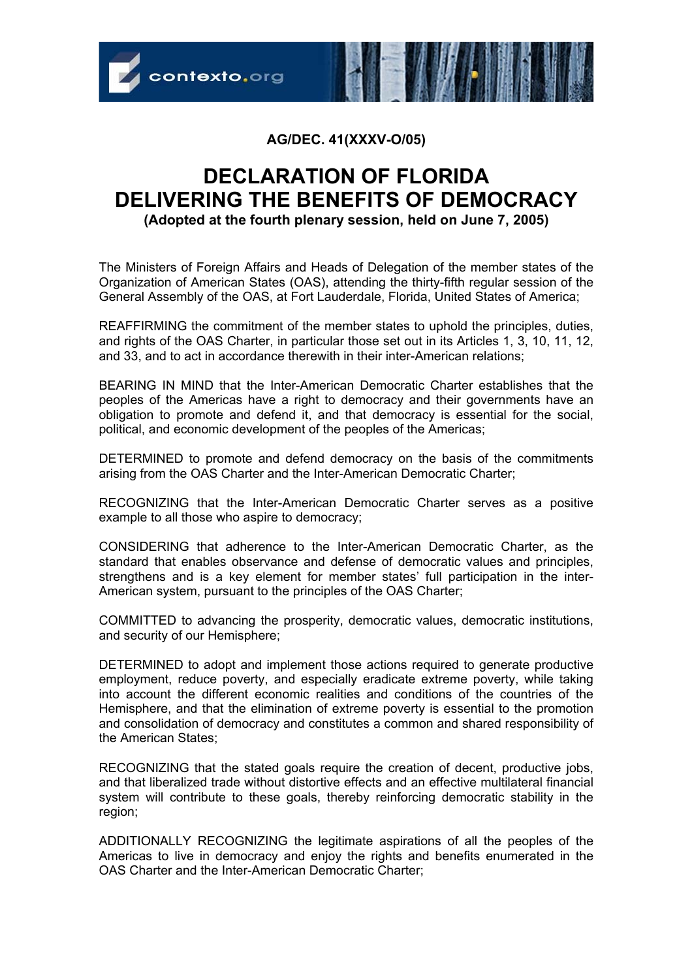



**AG/DEC. 41(XXXV-O/05)** 

## **DECLARATION OF FLORIDA DELIVERING THE BENEFITS OF DEMOCRACY (Adopted at the fourth plenary session, held on June 7, 2005)**

The Ministers of Foreign Affairs and Heads of Delegation of the member states of the Organization of American States (OAS), attending the thirty-fifth regular session of the General Assembly of the OAS, at Fort Lauderdale, Florida, United States of America;

REAFFIRMING the commitment of the member states to uphold the principles, duties, and rights of the OAS Charter, in particular those set out in its Articles 1, 3, 10, 11, 12, and 33, and to act in accordance therewith in their inter-American relations;

BEARING IN MIND that the Inter-American Democratic Charter establishes that the peoples of the Americas have a right to democracy and their governments have an obligation to promote and defend it, and that democracy is essential for the social, political, and economic development of the peoples of the Americas;

DETERMINED to promote and defend democracy on the basis of the commitments arising from the OAS Charter and the Inter-American Democratic Charter;

RECOGNIZING that the Inter-American Democratic Charter serves as a positive example to all those who aspire to democracy;

CONSIDERING that adherence to the Inter-American Democratic Charter, as the standard that enables observance and defense of democratic values and principles, strengthens and is a key element for member states' full participation in the inter-American system, pursuant to the principles of the OAS Charter;

COMMITTED to advancing the prosperity, democratic values, democratic institutions, and security of our Hemisphere;

DETERMINED to adopt and implement those actions required to generate productive employment, reduce poverty, and especially eradicate extreme poverty, while taking into account the different economic realities and conditions of the countries of the Hemisphere, and that the elimination of extreme poverty is essential to the promotion and consolidation of democracy and constitutes a common and shared responsibility of the American States;

RECOGNIZING that the stated goals require the creation of decent, productive jobs, and that liberalized trade without distortive effects and an effective multilateral financial system will contribute to these goals, thereby reinforcing democratic stability in the region;

ADDITIONALLY RECOGNIZING the legitimate aspirations of all the peoples of the Americas to live in democracy and enjoy the rights and benefits enumerated in the OAS Charter and the Inter-American Democratic Charter;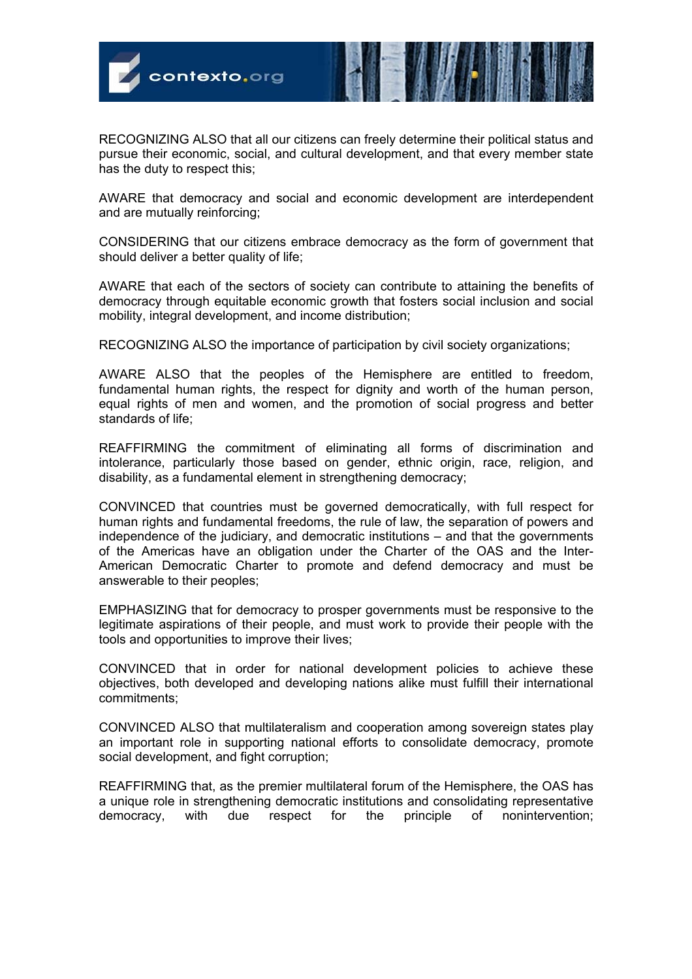

RECOGNIZING ALSO that all our citizens can freely determine their political status and pursue their economic, social, and cultural development, and that every member state has the duty to respect this;

AWARE that democracy and social and economic development are interdependent and are mutually reinforcing;

CONSIDERING that our citizens embrace democracy as the form of government that should deliver a better quality of life;

AWARE that each of the sectors of society can contribute to attaining the benefits of democracy through equitable economic growth that fosters social inclusion and social mobility, integral development, and income distribution;

RECOGNIZING ALSO the importance of participation by civil society organizations;

AWARE ALSO that the peoples of the Hemisphere are entitled to freedom, fundamental human rights, the respect for dignity and worth of the human person, equal rights of men and women, and the promotion of social progress and better standards of life;

REAFFIRMING the commitment of eliminating all forms of discrimination and intolerance, particularly those based on gender, ethnic origin, race, religion, and disability, as a fundamental element in strengthening democracy;

CONVINCED that countries must be governed democratically, with full respect for human rights and fundamental freedoms, the rule of law, the separation of powers and independence of the judiciary, and democratic institutions – and that the governments of the Americas have an obligation under the Charter of the OAS and the Inter-American Democratic Charter to promote and defend democracy and must be answerable to their peoples;

EMPHASIZING that for democracy to prosper governments must be responsive to the legitimate aspirations of their people, and must work to provide their people with the tools and opportunities to improve their lives;

CONVINCED that in order for national development policies to achieve these objectives, both developed and developing nations alike must fulfill their international commitments;

CONVINCED ALSO that multilateralism and cooperation among sovereign states play an important role in supporting national efforts to consolidate democracy, promote social development, and fight corruption;

REAFFIRMING that, as the premier multilateral forum of the Hemisphere, the OAS has a unique role in strengthening democratic institutions and consolidating representative democracy, with due respect for the principle of nonintervention;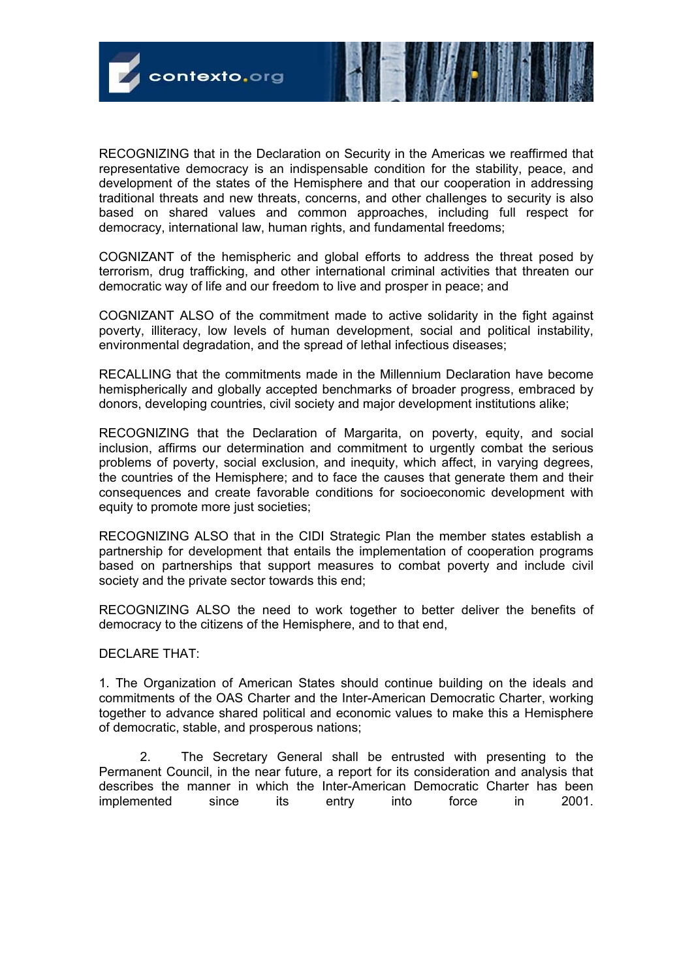

RECOGNIZING that in the Declaration on Security in the Americas we reaffirmed that representative democracy is an indispensable condition for the stability, peace, and development of the states of the Hemisphere and that our cooperation in addressing traditional threats and new threats, concerns, and other challenges to security is also based on shared values and common approaches, including full respect for democracy, international law, human rights, and fundamental freedoms;

COGNIZANT of the hemispheric and global efforts to address the threat posed by terrorism, drug trafficking, and other international criminal activities that threaten our democratic way of life and our freedom to live and prosper in peace; and

COGNIZANT ALSO of the commitment made to active solidarity in the fight against poverty, illiteracy, low levels of human development, social and political instability, environmental degradation, and the spread of lethal infectious diseases;

RECALLING that the commitments made in the Millennium Declaration have become hemispherically and globally accepted benchmarks of broader progress, embraced by donors, developing countries, civil society and major development institutions alike;

RECOGNIZING that the Declaration of Margarita, on poverty, equity, and social inclusion, affirms our determination and commitment to urgently combat the serious problems of poverty, social exclusion, and inequity, which affect, in varying degrees, the countries of the Hemisphere; and to face the causes that generate them and their consequences and create favorable conditions for socioeconomic development with equity to promote more just societies;

RECOGNIZING ALSO that in the CIDI Strategic Plan the member states establish a partnership for development that entails the implementation of cooperation programs based on partnerships that support measures to combat poverty and include civil society and the private sector towards this end;

RECOGNIZING ALSO the need to work together to better deliver the benefits of democracy to the citizens of the Hemisphere, and to that end,

DECLARE THAT:

1. The Organization of American States should continue building on the ideals and commitments of the OAS Charter and the Inter-American Democratic Charter, working together to advance shared political and economic values to make this a Hemisphere of democratic, stable, and prosperous nations;

 2. The Secretary General shall be entrusted with presenting to the Permanent Council, in the near future, a report for its consideration and analysis that describes the manner in which the Inter-American Democratic Charter has been implemented since its entry into force in 2001.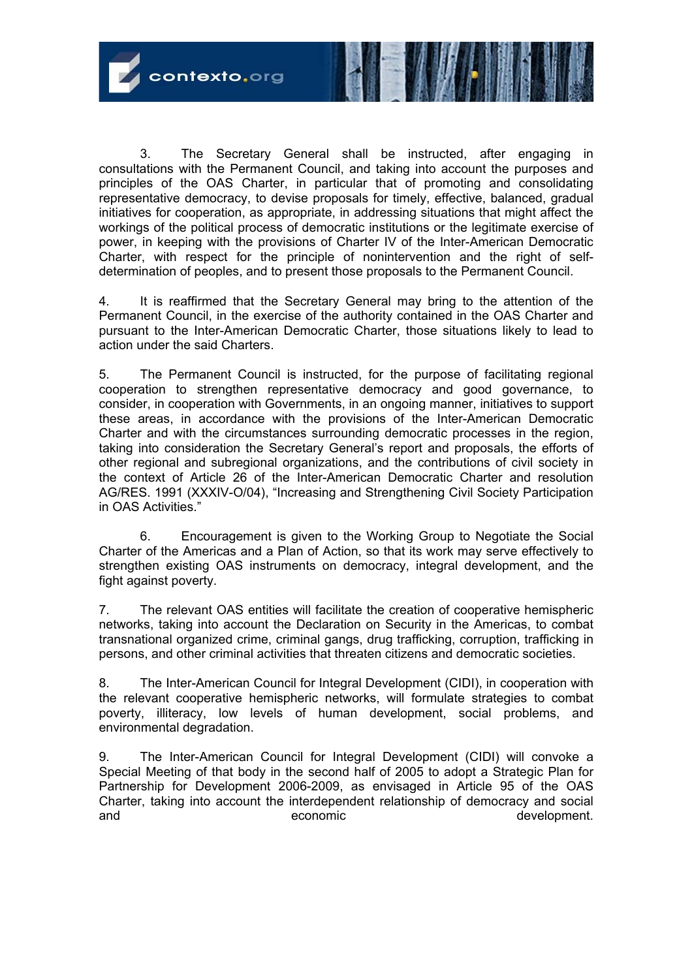

 3. The Secretary General shall be instructed, after engaging in consultations with the Permanent Council, and taking into account the purposes and principles of the OAS Charter, in particular that of promoting and consolidating representative democracy, to devise proposals for timely, effective, balanced, gradual initiatives for cooperation, as appropriate, in addressing situations that might affect the workings of the political process of democratic institutions or the legitimate exercise of power, in keeping with the provisions of Charter IV of the Inter-American Democratic Charter, with respect for the principle of nonintervention and the right of selfdetermination of peoples, and to present those proposals to the Permanent Council.

4. It is reaffirmed that the Secretary General may bring to the attention of the Permanent Council, in the exercise of the authority contained in the OAS Charter and pursuant to the Inter-American Democratic Charter, those situations likely to lead to action under the said Charters.

5. The Permanent Council is instructed, for the purpose of facilitating regional cooperation to strengthen representative democracy and good governance, to consider, in cooperation with Governments, in an ongoing manner, initiatives to support these areas, in accordance with the provisions of the Inter-American Democratic Charter and with the circumstances surrounding democratic processes in the region, taking into consideration the Secretary General's report and proposals, the efforts of other regional and subregional organizations, and the contributions of civil society in the context of Article 26 of the Inter-American Democratic Charter and resolution AG/RES. 1991 (XXXIV-O/04), "Increasing and Strengthening Civil Society Participation in OAS Activities."

 6. Encouragement is given to the Working Group to Negotiate the Social Charter of the Americas and a Plan of Action, so that its work may serve effectively to strengthen existing OAS instruments on democracy, integral development, and the fight against poverty.

7. The relevant OAS entities will facilitate the creation of cooperative hemispheric networks, taking into account the Declaration on Security in the Americas, to combat transnational organized crime, criminal gangs, drug trafficking, corruption, trafficking in persons, and other criminal activities that threaten citizens and democratic societies.

8. The Inter-American Council for Integral Development (CIDI), in cooperation with the relevant cooperative hemispheric networks, will formulate strategies to combat poverty, illiteracy, low levels of human development, social problems, and environmental degradation.

9. The Inter-American Council for Integral Development (CIDI) will convoke a Special Meeting of that body in the second half of 2005 to adopt a Strategic Plan for Partnership for Development 2006-2009, as envisaged in Article 95 of the OAS Charter, taking into account the interdependent relationship of democracy and social and economic development.